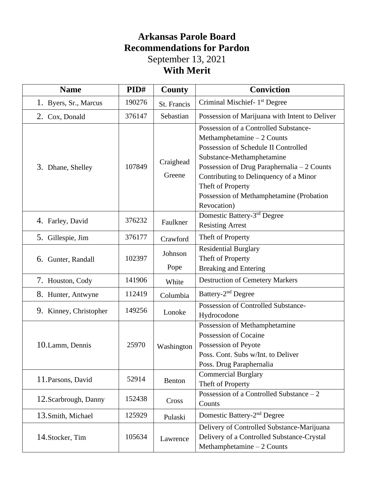## **Arkansas Parole Board Recommendations for Pardon** September 13, 2021 **With Merit**

| <b>Name</b>            | PID#   | County              | <b>Conviction</b>                                                                                                                                                                                                                                                                                                  |
|------------------------|--------|---------------------|--------------------------------------------------------------------------------------------------------------------------------------------------------------------------------------------------------------------------------------------------------------------------------------------------------------------|
| 1. Byers, Sr., Marcus  | 190276 | St. Francis         | Criminal Mischief- 1 <sup>st</sup> Degree                                                                                                                                                                                                                                                                          |
| 2. Cox, Donald         | 376147 | Sebastian           | Possession of Marijuana with Intent to Deliver                                                                                                                                                                                                                                                                     |
| 3. Dhane, Shelley      | 107849 | Craighead<br>Greene | Possession of a Controlled Substance-<br>Methamphetamine $-2$ Counts<br>Possession of Schedule II Controlled<br>Substance-Methamphetamine<br>Possession of Drug Paraphernalia - 2 Counts<br>Contributing to Delinquency of a Minor<br>Theft of Property<br>Possession of Methamphetamine (Probation<br>Revocation) |
| 4. Farley, David       | 376232 | Faulkner            | Domestic Battery-3rd Degree<br><b>Resisting Arrest</b>                                                                                                                                                                                                                                                             |
| 5. Gillespie, Jim      | 376177 | Crawford            | Theft of Property                                                                                                                                                                                                                                                                                                  |
| 6. Gunter, Randall     | 102397 | Johnson<br>Pope     | <b>Residential Burglary</b><br>Theft of Property<br><b>Breaking and Entering</b>                                                                                                                                                                                                                                   |
| 7. Houston, Cody       | 141906 | White               | <b>Destruction of Cemetery Markers</b>                                                                                                                                                                                                                                                                             |
| 8. Hunter, Antwyne     | 112419 | Columbia            | Battery-2 <sup>nd</sup> Degree                                                                                                                                                                                                                                                                                     |
| 9. Kinney, Christopher | 149256 | Lonoke              | Possession of Controlled Substance-<br>Hydrocodone                                                                                                                                                                                                                                                                 |
| 10. Lamm, Dennis       | 25970  | Washington          | Possession of Methamphetamine<br>Possession of Cocaine<br>Possession of Peyote<br>Poss. Cont. Subs w/Int. to Deliver<br>Poss. Drug Paraphernalia                                                                                                                                                                   |
| 11. Parsons, David     | 52914  | Benton              | <b>Commercial Burglary</b><br>Theft of Property                                                                                                                                                                                                                                                                    |
| 12. Scarbrough, Danny  | 152438 | Cross               | Possession of a Controlled Substance $-2$<br>Counts                                                                                                                                                                                                                                                                |
| 13. Smith, Michael     | 125929 | Pulaski             | Domestic Battery-2 <sup>nd</sup> Degree                                                                                                                                                                                                                                                                            |
| 14. Stocker, Tim       | 105634 | Lawrence            | Delivery of Controlled Substance-Marijuana<br>Delivery of a Controlled Substance-Crystal<br>Methamphetamine $-2$ Counts                                                                                                                                                                                            |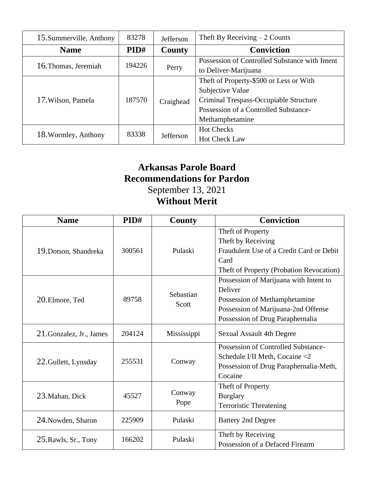| 15. Summerville, Anthony | 83278  | <b>Jefferson</b>                               | Theft By Receiving $-2$ Counts                             |  |
|--------------------------|--------|------------------------------------------------|------------------------------------------------------------|--|
| <b>Name</b>              | PID#   | County                                         | <b>Conviction</b>                                          |  |
|                          | 194226 | Possession of Controlled Substance with Intent |                                                            |  |
| 16. Thomas, Jeremiah     |        | Perry                                          | to Deliver-Marijuana                                       |  |
| 17. Wilson, Pamela       |        | Theft of Property-\$500 or Less or With        |                                                            |  |
|                          |        |                                                |                                                            |  |
|                          | 187570 | Craighead                                      | Subjective Value<br>Criminal Trespass-Occupiable Structure |  |
|                          |        |                                                | Possession of a Controlled Substance-                      |  |
|                          |        |                                                | Methamphetamine                                            |  |
| 18. Wormley, Anthony     | 83338  |                                                | <b>Hot Checks</b>                                          |  |
|                          |        | <b>Jefferson</b>                               | <b>Hot Check Law</b>                                       |  |

# **Arkansas Parole Board Recommendations for Pardon** September 13, 2021 **Without Merit**

| <b>Name</b>              | PID#   | <b>County</b>      | <b>Conviction</b>                                                                                                                                             |
|--------------------------|--------|--------------------|---------------------------------------------------------------------------------------------------------------------------------------------------------------|
| 19. Dotson, Shandreka    | 300561 | Pulaski            | Theft of Property<br>Theft by Receiving<br>Fraudulent Use of a Credit Card or Debit<br>Card<br>Theft of Property (Probation Revocation)                       |
| 20. Elmore, Ted          | 89758  | Sebastian<br>Scott | Possession of Marijuana with Intent to<br>Deliver<br>Possession of Methamphetamine<br>Possession of Marijuana-2nd Offense<br>Possession of Drug Paraphernalia |
| 21. Gonzalez, Jr., James | 204124 | Mississippi        | <b>Sexual Assault 4th Degree</b>                                                                                                                              |
| 22. Gullett, Lynsday     | 255531 | Conway             | Possession of Controlled Substance-<br>Schedule I/II Meth, Cocaine <2<br>Possession of Drug Paraphernalia-Meth,<br>Cocaine                                    |
| 23. Mahan, Dick          | 45527  | Conway<br>Pope     | Theft of Property<br><b>Burglary</b><br><b>Terroristic Threatening</b>                                                                                        |
| 24. Nowden, Sharon       | 225909 | Pulaski            | <b>Battery 2nd Degree</b>                                                                                                                                     |
| 25. Rawls, Sr., Tony     | 166202 | Pulaski            | Theft by Receiving<br>Possession of a Defaced Firearm                                                                                                         |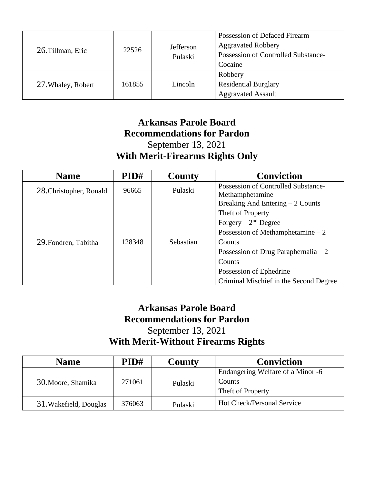| 26. Tillman, Eric  | 22526  | Jefferson<br>Pulaski | Possession of Defaced Firearm<br><b>Aggravated Robbery</b><br>Possession of Controlled Substance-<br>Cocaine |
|--------------------|--------|----------------------|--------------------------------------------------------------------------------------------------------------|
| 27. Whaley, Robert | 161855 | Lincoln              | Robbery<br><b>Residential Burglary</b><br><b>Aggravated Assault</b>                                          |

## **Arkansas Parole Board Recommendations for Pardon** September 13, 2021 **With Merit-Firearms Rights Only**

| <b>Name</b>             | PID#   | County    | <b>Conviction</b>                      |
|-------------------------|--------|-----------|----------------------------------------|
| 28. Christopher, Ronald | 96665  | Pulaski   | Possession of Controlled Substance-    |
|                         |        |           | Methamphetamine                        |
|                         | 128348 | Sebastian | Breaking And Entering $-2$ Counts      |
| 29. Fondren, Tabitha    |        |           | Theft of Property                      |
|                         |        |           | Forgery $-2nd$ Degree                  |
|                         |        |           | Possession of Methamphetamine $-2$     |
|                         |        |           | Counts                                 |
|                         |        |           | Possession of Drug Paraphernalia $-2$  |
|                         |        |           | Counts                                 |
|                         |        |           | Possession of Ephedrine                |
|                         |        |           | Criminal Mischief in the Second Degree |

### **Arkansas Parole Board Recommendations for Pardon** September 13, 2021 **With Merit-Without Firearms Rights**

| <b>Name</b>            | PID#   | <b>County</b> | <b>Conviction</b>                 |
|------------------------|--------|---------------|-----------------------------------|
| 30. Moore, Shamika     | 271061 | Pulaski       | Endangering Welfare of a Minor -6 |
|                        |        |               | Counts                            |
|                        |        |               | Theft of Property                 |
| 31. Wakefield, Douglas | 376063 | Pulaski       | Hot Check/Personal Service        |